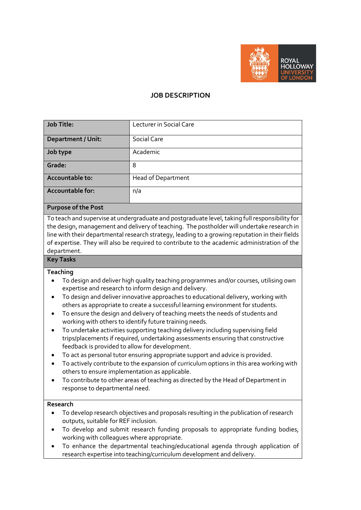

# **JOB DESCRIPTION**

| <b>Job Title:</b>         | Lecturer in Social Care   |
|---------------------------|---------------------------|
| <b>Department / Unit:</b> | Social Care               |
| Job type                  | Academic                  |
| Grade:                    | 8                         |
| Accountable to:           | <b>Head of Department</b> |
| <b>Accountable for:</b>   | n/a                       |

#### **Purpose of the Post**

To teach and supervise at undergraduate and postgraduate level, taking full responsibility for the design, management and delivery of teaching. The postholder will undertake research in line with their departmental research strategy, leading to a growing reputation in their fields of expertise. They will also be required to contribute to the academic administration of the department.

## **Key Tasks**

### **Teaching**

- To design and deliver high quality teaching programmes and/or courses, utilising own expertise and research to inform design and delivery.
- To design and deliver innovative approaches to educational delivery, working with others as appropriate to create a successful learning environment for students.
- To ensure the design and delivery of teaching meets the needs of students and working with others to identify future training needs.
- To undertake activities supporting teaching delivery including supervising field trips/placements if required, undertaking assessments ensuring that constructive feedback is provided to allow for development.
- To act as personal tutor ensuring appropriate support and advice is provided.
- To actively contribute to the expansion of curriculum options in this area working with others to ensure implementation as applicable.
- To contribute to other areas of teaching as directed by the Head of Department in response to departmental need.

### **Research**

- To develop research objectives and proposals resulting in the publication of research outputs, suitable for REF inclusion.
- To develop and submit research funding proposals to appropriate funding bodies, working with colleagues where appropriate.
- To enhance the departmental teaching/educational agenda through application of research expertise into teaching/curriculum development and delivery.